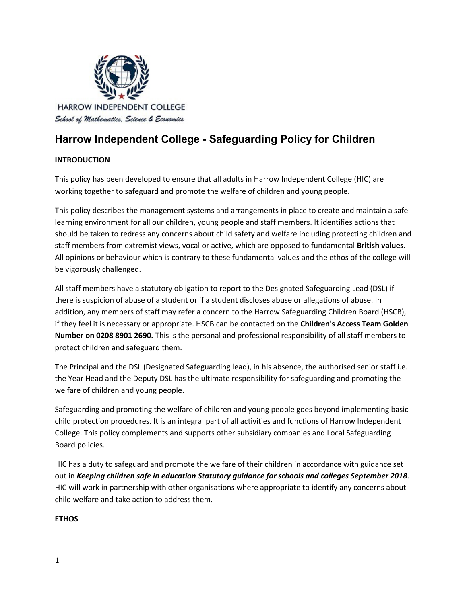

## **Harrow Independent College - Safeguarding Policy for Children**

#### **INTRODUCTION**

This policy has been developed to ensure that all adults in Harrow Independent College (HIC) are working together to safeguard and promote the welfare of children and young people.

This policy describes the management systems and arrangements in place to create and maintain a safe learning environment for all our children, young people and staff members. It identifies actions that should be taken to redress any concerns about child safety and welfare including protecting children and staff members from extremist views, vocal or active, which are opposed to fundamental **British values.** All opinions or behaviour which is contrary to these fundamental values and the ethos of the college will be vigorously challenged.

All staff members have a statutory obligation to report to the Designated Safeguarding Lead (DSL) if there is suspicion of abuse of a student or if a student discloses abuse or allegations of abuse. In addition, any members of staff may refer a concern to the Harrow Safeguarding Children Board (HSCB), if they feel it is necessary or appropriate. HSCB can be contacted on the **Children's Access Team Golden Number on 0208 8901 2690.** This is the personal and professional responsibility of all staff members to protect children and safeguard them.

The Principal and the DSL (Designated Safeguarding lead), in his absence, the authorised senior staff i.e. the Year Head and the Deputy DSL has the ultimate responsibility for safeguarding and promoting the welfare of children and young people.

Safeguarding and promoting the welfare of children and young people goes beyond implementing basic child protection procedures. It is an integral part of all activities and functions of Harrow Independent College. This policy complements and supports other subsidiary companies and Local Safeguarding Board policies.

HIC has a duty to safeguard and promote the welfare of their children in accordance with guidance set out in *Keeping children safe in education Statutory guidance for schools and colleges September 2018*. HIC will work in partnership with other organisations where appropriate to identify any concerns about child welfare and take action to address them.

#### **ETHOS**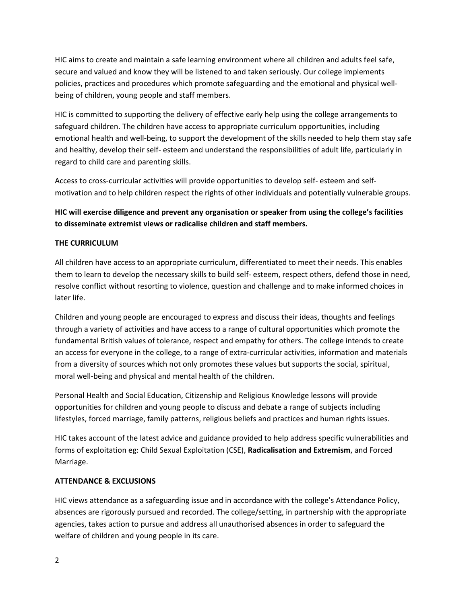HIC aims to create and maintain a safe learning environment where all children and adults feel safe, secure and valued and know they will be listened to and taken seriously. Our college implements policies, practices and procedures which promote safeguarding and the emotional and physical wellbeing of children, young people and staff members.

HIC is committed to supporting the delivery of effective early help using the college arrangements to safeguard children. The children have access to appropriate curriculum opportunities, including emotional health and well-being, to support the development of the skills needed to help them stay safe and healthy, develop their self- esteem and understand the responsibilities of adult life, particularly in regard to child care and parenting skills.

Access to cross-curricular activities will provide opportunities to develop self- esteem and selfmotivation and to help children respect the rights of other individuals and potentially vulnerable groups.

## **HIC will exercise diligence and prevent any organisation or speaker from using the college's facilities to disseminate extremist views or radicalise children and staff members.**

#### **THE CURRICULUM**

All children have access to an appropriate curriculum, differentiated to meet their needs. This enables them to learn to develop the necessary skills to build self- esteem, respect others, defend those in need, resolve conflict without resorting to violence, question and challenge and to make informed choices in later life.

Children and young people are encouraged to express and discuss their ideas, thoughts and feelings through a variety of activities and have access to a range of cultural opportunities which promote the fundamental British values of tolerance, respect and empathy for others. The college intends to create an access for everyone in the college, to a range of extra-curricular activities, information and materials from a diversity of sources which not only promotes these values but supports the social, spiritual, moral well-being and physical and mental health of the children.

Personal Health and Social Education, Citizenship and Religious Knowledge lessons will provide opportunities for children and young people to discuss and debate a range of subjects including lifestyles, forced marriage, family patterns, religious beliefs and practices and human rights issues.

HIC takes account of the latest advice and guidance provided to help address specific vulnerabilities and forms of exploitation eg: Child Sexual Exploitation (CSE), **Radicalisation and Extremism**, and Forced Marriage.

#### **ATTENDANCE & EXCLUSIONS**

HIC views attendance as a safeguarding issue and in accordance with the college's Attendance Policy, absences are rigorously pursued and recorded. The college/setting, in partnership with the appropriate agencies, takes action to pursue and address all unauthorised absences in order to safeguard the welfare of children and young people in its care.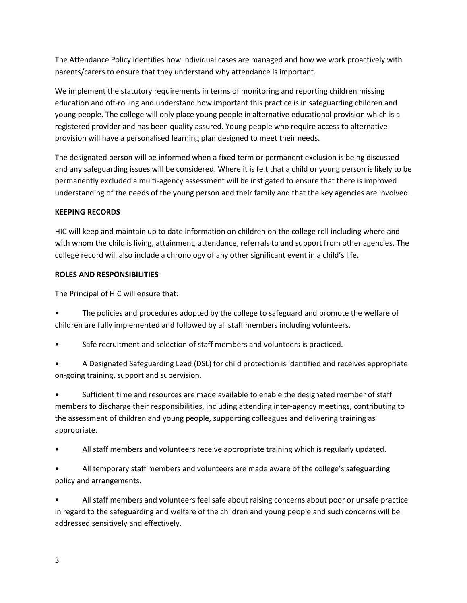The Attendance Policy identifies how individual cases are managed and how we work proactively with parents/carers to ensure that they understand why attendance is important.

We implement the statutory requirements in terms of monitoring and reporting children missing education and off-rolling and understand how important this practice is in safeguarding children and young people. The college will only place young people in alternative educational provision which is a registered provider and has been quality assured. Young people who require access to alternative provision will have a personalised learning plan designed to meet their needs.

The designated person will be informed when a fixed term or permanent exclusion is being discussed and any safeguarding issues will be considered. Where it is felt that a child or young person is likely to be permanently excluded a multi-agency assessment will be instigated to ensure that there is improved understanding of the needs of the young person and their family and that the key agencies are involved.

#### **KEEPING RECORDS**

HIC will keep and maintain up to date information on children on the college roll including where and with whom the child is living, attainment, attendance, referrals to and support from other agencies. The college record will also include a chronology of any other significant event in a child's life.

### **ROLES AND RESPONSIBILITIES**

The Principal of HIC will ensure that:

- The policies and procedures adopted by the college to safeguard and promote the welfare of children are fully implemented and followed by all staff members including volunteers.
- Safe recruitment and selection of staff members and volunteers is practiced.
- A Designated Safeguarding Lead (DSL) for child protection is identified and receives appropriate on-going training, support and supervision.

• Sufficient time and resources are made available to enable the designated member of staff members to discharge their responsibilities, including attending inter-agency meetings, contributing to the assessment of children and young people, supporting colleagues and delivering training as appropriate.

• All staff members and volunteers receive appropriate training which is regularly updated.

• All temporary staff members and volunteers are made aware of the college's safeguarding policy and arrangements.

• All staff members and volunteers feel safe about raising concerns about poor or unsafe practice in regard to the safeguarding and welfare of the children and young people and such concerns will be addressed sensitively and effectively.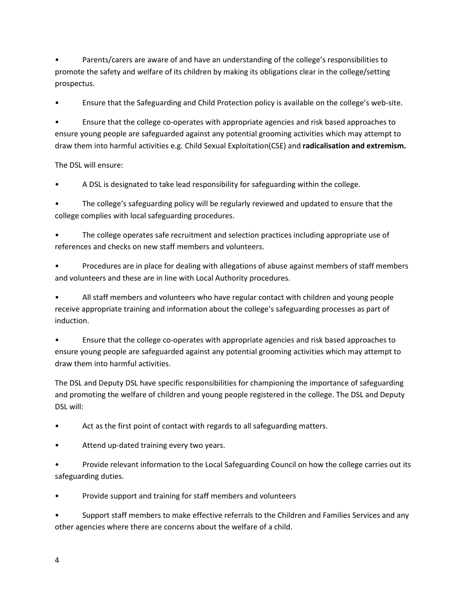• Parents/carers are aware of and have an understanding of the college's responsibilities to promote the safety and welfare of its children by making its obligations clear in the college/setting prospectus.

• Ensure that the Safeguarding and Child Protection policy is available on the college's web-site.

• Ensure that the college co-operates with appropriate agencies and risk based approaches to ensure young people are safeguarded against any potential grooming activities which may attempt to draw them into harmful activities e.g. Child Sexual Exploitation(CSE) and **radicalisation and extremism.**

The DSL will ensure:

• A DSL is designated to take lead responsibility for safeguarding within the college.

• The college's safeguarding policy will be regularly reviewed and updated to ensure that the college complies with local safeguarding procedures.

• The college operates safe recruitment and selection practices including appropriate use of references and checks on new staff members and volunteers.

• Procedures are in place for dealing with allegations of abuse against members of staff members and volunteers and these are in line with Local Authority procedures.

• All staff members and volunteers who have regular contact with children and young people receive appropriate training and information about the college's safeguarding processes as part of induction.

• Ensure that the college co-operates with appropriate agencies and risk based approaches to ensure young people are safeguarded against any potential grooming activities which may attempt to draw them into harmful activities.

The DSL and Deputy DSL have specific responsibilities for championing the importance of safeguarding and promoting the welfare of children and young people registered in the college. The DSL and Deputy DSL will:

Act as the first point of contact with regards to all safeguarding matters.

Attend up-dated training every two years.

• Provide relevant information to the Local Safeguarding Council on how the college carries out its safeguarding duties.

• Provide support and training for staff members and volunteers

• Support staff members to make effective referrals to the Children and Families Services and any other agencies where there are concerns about the welfare of a child.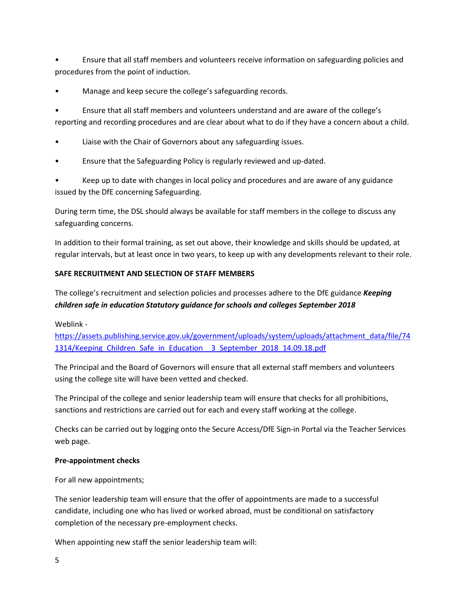• Ensure that all staff members and volunteers receive information on safeguarding policies and procedures from the point of induction.

• Manage and keep secure the college's safeguarding records.

• Ensure that all staff members and volunteers understand and are aware of the college's reporting and recording procedures and are clear about what to do if they have a concern about a child.

- Liaise with the Chair of Governors about any safeguarding issues.
- Ensure that the Safeguarding Policy is regularly reviewed and up-dated.

• Keep up to date with changes in local policy and procedures and are aware of any guidance issued by the DfE concerning Safeguarding.

During term time, the DSL should always be available for staff members in the college to discuss any safeguarding concerns.

In addition to their formal training, as set out above, their knowledge and skills should be updated, at regular intervals, but at least once in two years, to keep up with any developments relevant to their role.

#### **SAFE RECRUITMENT AND SELECTION OF STAFF MEMBERS**

The college's recruitment and selection policies and processes adhere to the DfE guidance *Keeping children safe in education Statutory guidance for schools and colleges September 2018*

Weblink -

[https://assets.publishing.service.gov.uk/government/uploads/system/uploads/attachment\\_data/file/74](https://assets.publishing.service.gov.uk/government/uploads/system/uploads/attachment_data/file/741314/Keeping_Children_Safe_in_Education__3_September_2018_14.09.18.pdf) [1314/Keeping\\_Children\\_Safe\\_in\\_Education\\_\\_3\\_September\\_2018\\_14.09.18.pdf](https://assets.publishing.service.gov.uk/government/uploads/system/uploads/attachment_data/file/741314/Keeping_Children_Safe_in_Education__3_September_2018_14.09.18.pdf)

The Principal and the Board of Governors will ensure that all external staff members and volunteers using the college site will have been vetted and checked.

The Principal of the college and senior leadership team will ensure that checks for all prohibitions, sanctions and restrictions are carried out for each and every staff working at the college.

Checks can be carried out by logging onto the Secure Access/DfE Sign-in Portal via the Teacher Services web page.

#### **Pre-appointment checks**

For all new appointments;

The senior leadership team will ensure that the offer of appointments are made to a successful candidate, including one who has lived or worked abroad, must be conditional on satisfactory completion of the necessary pre-employment checks.

When appointing new staff the senior leadership team will: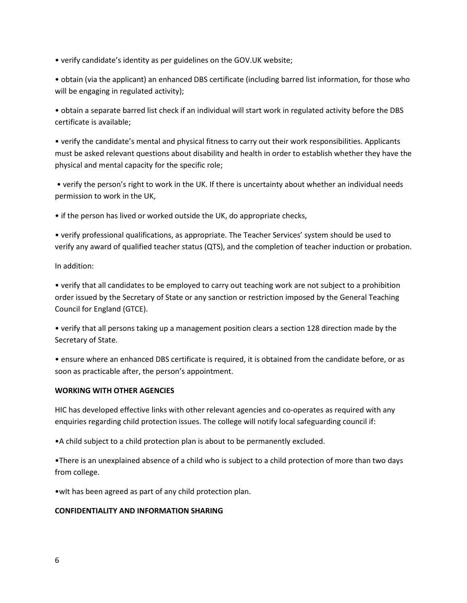• verify candidate's identity as per guidelines on the GOV.UK website;

• obtain (via the applicant) an enhanced DBS certificate (including barred list information, for those who will be engaging in regulated activity);

• obtain a separate barred list check if an individual will start work in regulated activity before the DBS certificate is available;

• verify the candidate's mental and physical fitness to carry out their work responsibilities. Applicants must be asked relevant questions about disability and health in order to establish whether they have the physical and mental capacity for the specific role;

• verify the person's right to work in the UK. If there is uncertainty about whether an individual needs permission to work in the UK,

• if the person has lived or worked outside the UK, do appropriate checks,

• verify professional qualifications, as appropriate. The Teacher Services' system should be used to verify any award of qualified teacher status (QTS), and the completion of teacher induction or probation.

In addition:

• verify that all candidates to be employed to carry out teaching work are not subject to a prohibition order issued by the Secretary of State or any sanction or restriction imposed by the General Teaching Council for England (GTCE).

• verify that all persons taking up a management position clears a section 128 direction made by the Secretary of State.

• ensure where an enhanced DBS certificate is required, it is obtained from the candidate before, or as soon as practicable after, the person's appointment.

#### **WORKING WITH OTHER AGENCIES**

HIC has developed effective links with other relevant agencies and co-operates as required with any enquiries regarding child protection issues. The college will notify local safeguarding council if:

•A child subject to a child protection plan is about to be permanently excluded.

•There is an unexplained absence of a child who is subject to a child protection of more than two days from college.

•wIt has been agreed as part of any child protection plan.

#### **CONFIDENTIALITY AND INFORMATION SHARING**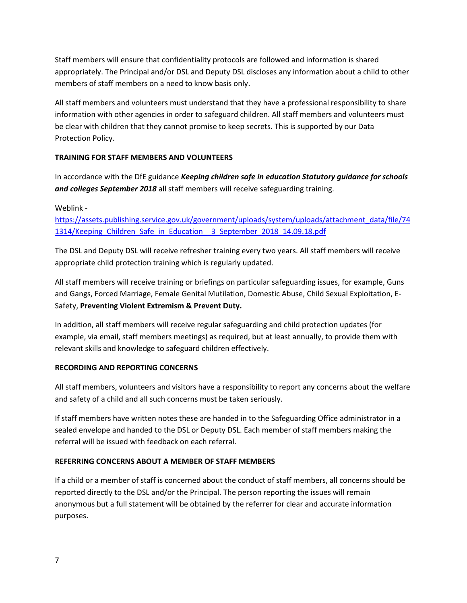Staff members will ensure that confidentiality protocols are followed and information is shared appropriately. The Principal and/or DSL and Deputy DSL discloses any information about a child to other members of staff members on a need to know basis only.

All staff members and volunteers must understand that they have a professional responsibility to share information with other agencies in order to safeguard children. All staff members and volunteers must be clear with children that they cannot promise to keep secrets. This is supported by our Data Protection Policy.

### **TRAINING FOR STAFF MEMBERS AND VOLUNTEERS**

In accordance with the DfE guidance *Keeping children safe in education Statutory guidance for schools and colleges September 2018* all staff members will receive safeguarding training.

Weblink -

[https://assets.publishing.service.gov.uk/government/uploads/system/uploads/attachment\\_data/file/74](https://assets.publishing.service.gov.uk/government/uploads/system/uploads/attachment_data/file/741314/Keeping_Children_Safe_in_Education__3_September_2018_14.09.18.pdf) [1314/Keeping\\_Children\\_Safe\\_in\\_Education\\_\\_3\\_September\\_2018\\_14.09.18.pdf](https://assets.publishing.service.gov.uk/government/uploads/system/uploads/attachment_data/file/741314/Keeping_Children_Safe_in_Education__3_September_2018_14.09.18.pdf)

The DSL and Deputy DSL will receive refresher training every two years. All staff members will receive appropriate child protection training which is regularly updated.

All staff members will receive training or briefings on particular safeguarding issues, for example, Guns and Gangs, Forced Marriage, Female Genital Mutilation, Domestic Abuse, Child Sexual Exploitation, E-Safety, **Preventing Violent Extremism & Prevent Duty.**

In addition, all staff members will receive regular safeguarding and child protection updates (for example, via email, staff members meetings) as required, but at least annually, to provide them with relevant skills and knowledge to safeguard children effectively.

#### **RECORDING AND REPORTING CONCERNS**

All staff members, volunteers and visitors have a responsibility to report any concerns about the welfare and safety of a child and all such concerns must be taken seriously.

If staff members have written notes these are handed in to the Safeguarding Office administrator in a sealed envelope and handed to the DSL or Deputy DSL. Each member of staff members making the referral will be issued with feedback on each referral.

#### **REFERRING CONCERNS ABOUT A MEMBER OF STAFF MEMBERS**

If a child or a member of staff is concerned about the conduct of staff members, all concerns should be reported directly to the DSL and/or the Principal. The person reporting the issues will remain anonymous but a full statement will be obtained by the referrer for clear and accurate information purposes.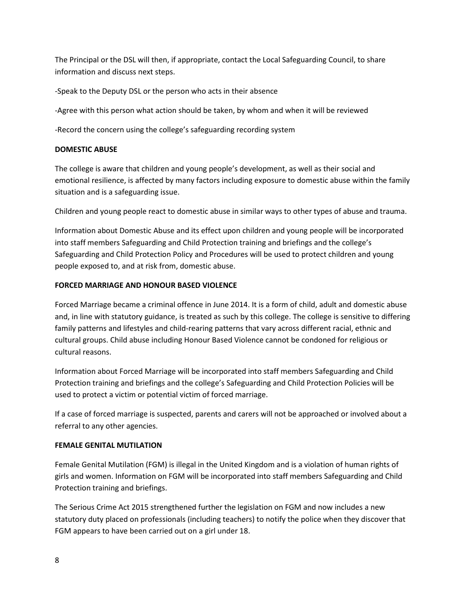The Principal or the DSL will then, if appropriate, contact the Local Safeguarding Council, to share information and discuss next steps.

-Speak to the Deputy DSL or the person who acts in their absence

-Agree with this person what action should be taken, by whom and when it will be reviewed

-Record the concern using the college's safeguarding recording system

#### **DOMESTIC ABUSE**

The college is aware that children and young people's development, as well as their social and emotional resilience, is affected by many factors including exposure to domestic abuse within the family situation and is a safeguarding issue.

Children and young people react to domestic abuse in similar ways to other types of abuse and trauma.

Information about Domestic Abuse and its effect upon children and young people will be incorporated into staff members Safeguarding and Child Protection training and briefings and the college's Safeguarding and Child Protection Policy and Procedures will be used to protect children and young people exposed to, and at risk from, domestic abuse.

#### **FORCED MARRIAGE AND HONOUR BASED VIOLENCE**

Forced Marriage became a criminal offence in June 2014. It is a form of child, adult and domestic abuse and, in line with statutory guidance, is treated as such by this college. The college is sensitive to differing family patterns and lifestyles and child-rearing patterns that vary across different racial, ethnic and cultural groups. Child abuse including Honour Based Violence cannot be condoned for religious or cultural reasons.

Information about Forced Marriage will be incorporated into staff members Safeguarding and Child Protection training and briefings and the college's Safeguarding and Child Protection Policies will be used to protect a victim or potential victim of forced marriage.

If a case of forced marriage is suspected, parents and carers will not be approached or involved about a referral to any other agencies.

#### **FEMALE GENITAL MUTILATION**

Female Genital Mutilation (FGM) is illegal in the United Kingdom and is a violation of human rights of girls and women. Information on FGM will be incorporated into staff members Safeguarding and Child Protection training and briefings.

The Serious Crime Act 2015 strengthened further the legislation on FGM and now includes a new statutory duty placed on professionals (including teachers) to notify the police when they discover that FGM appears to have been carried out on a girl under 18.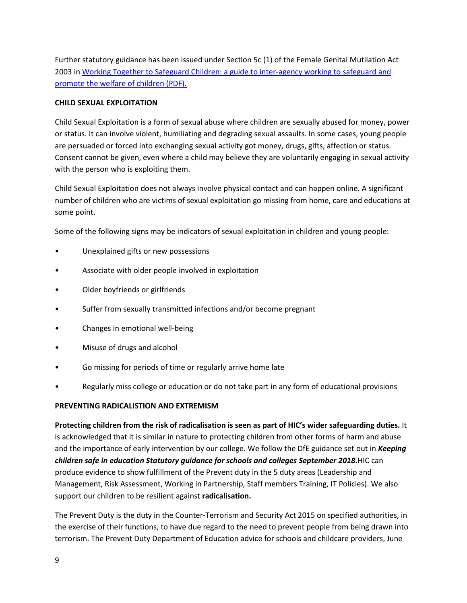Further statutory guidance has been issued under Section 5c (1) of the Female Genital Mutilation Act 2003 i[n Working Together to Safeguard Children: a guide to inter-agency working to safeguard and](https://assets.publishing.service.gov.uk/government/uploads/system/uploads/attachment_data/file/729914/Working_Together_to_Safeguard_Children-2018.pdf)  [promote the welfare of children \(PDF\).](https://assets.publishing.service.gov.uk/government/uploads/system/uploads/attachment_data/file/729914/Working_Together_to_Safeguard_Children-2018.pdf)

#### **CHILD SEXUAL EXPLOITATION**

Child Sexual Exploitation is a form of sexual abuse where children are sexually abused for money, power or status. It can involve violent, humiliating and degrading sexual assaults. In some cases, young people are persuaded or forced into exchanging sexual activity got money, drugs, gifts, affection or status. Consent cannot be given, even where a child may believe they are voluntarily engaging in sexual activity with the person who is exploiting them.

Child Sexual Exploitation does not always involve physical contact and can happen online. A significant number of children who are victims of sexual exploitation go missing from home, care and educations at some point.

Some of the following signs may be indicators of sexual exploitation in children and young people:

- Unexplained gifts or new possessions
- Associate with older people involved in exploitation
- Older boyfriends or girlfriends
- Suffer from sexually transmitted infections and/or become pregnant
- Changes in emotional well-being
- Misuse of drugs and alcohol
- Go missing for periods of time or regularly arrive home late
- Regularly miss college or education or do not take part in any form of educational provisions

#### **PREVENTING RADICALISTION AND EXTREMISM**

**Protecting children from the risk of radicalisation is seen as part of HIC's wider safeguarding duties.** It is acknowledged that it is similar in nature to protecting children from other forms of harm and abuse and the importance of early intervention by our college. We follow the DfE guidance set out in *Keeping children safe in education Statutory guidance for schools and colleges September 2018***.**HIC can produce evidence to show fulfillment of the Prevent duty in the 5 duty areas (Leadership and Management, Risk Assessment, Working in Partnership, Staff members Training, IT Policies). We also support our children to be resilient against **radicalisation.**

The Prevent Duty is the duty in the Counter-Terrorism and Security Act 2015 on specified authorities, in the exercise of their functions, to have due regard to the need to prevent people from being drawn into terrorism. The Prevent Duty Department of Education advice for schools and childcare providers, June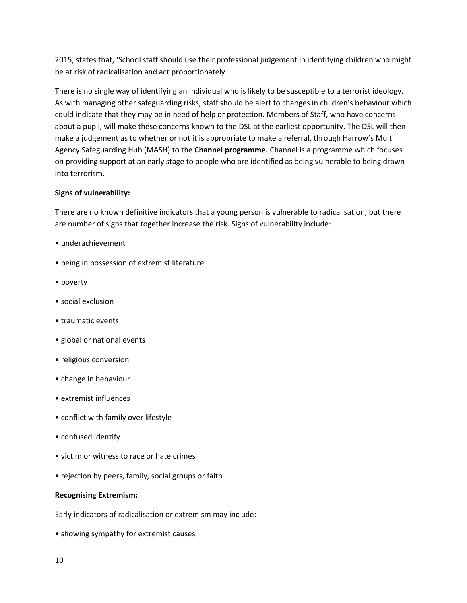2015, states that, 'School staff should use their professional judgement in identifying children who might be at risk of radicalisation and act proportionately.

There is no single way of identifying an individual who is likely to be susceptible to a terrorist ideology. As with managing other safeguarding risks, staff should be alert to changes in children's behaviour which could indicate that they may be in need of help or protection. Members of Staff, who have concerns about a pupil, will make these concerns known to the DSL at the earliest opportunity. The DSL will then make a judgement as to whether or not it is appropriate to make a referral, through Harrow's Multi Agency Safeguarding Hub (MASH) to the **Channel programme.** Channel is a programme which focuses on providing support at an early stage to people who are identified as being vulnerable to being drawn into terrorism.

#### **Signs of vulnerability:**

There are no known definitive indicators that a young person is vulnerable to radicalisation, but there are number of signs that together increase the risk. Signs of vulnerability include:

- underachievement
- being in possession of extremist literature
- poverty
- social exclusion
- traumatic events
- global or national events
- religious conversion
- change in behaviour
- extremist influences
- conflict with family over lifestyle
- confused identify
- victim or witness to race or hate crimes
- rejection by peers, family, social groups or faith

#### **Recognising Extremism:**

Early indicators of radicalisation or extremism may include:

• showing sympathy for extremist causes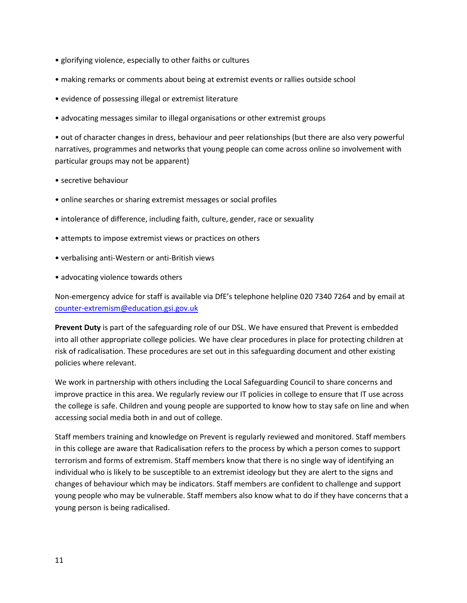- glorifying violence, especially to other faiths or cultures
- making remarks or comments about being at extremist events or rallies outside school
- evidence of possessing illegal or extremist literature
- advocating messages similar to illegal organisations or other extremist groups

• out of character changes in dress, behaviour and peer relationships (but there are also very powerful narratives, programmes and networks that young people can come across online so involvement with particular groups may not be apparent)

- secretive behaviour
- online searches or sharing extremist messages or social profiles
- intolerance of difference, including faith, culture, gender, race or sexuality
- attempts to impose extremist views or practices on others
- verbalising anti-Western or anti-British views
- advocating violence towards others

Non-emergency advice for staff is available via DfE's telephone helpline 020 7340 7264 and by email at [counter-extremism@education.gsi.gov.uk](mailto:counter-extremism@education.gsi.gov.uk)

**Prevent Duty** is part of the safeguarding role of our DSL. We have ensured that Prevent is embedded into all other appropriate college policies. We have clear procedures in place for protecting children at risk of radicalisation. These procedures are set out in this safeguarding document and other existing policies where relevant.

We work in partnership with others including the Local Safeguarding Council to share concerns and improve practice in this area. We regularly review our IT policies in college to ensure that IT use across the college is safe. Children and young people are supported to know how to stay safe on line and when accessing social media both in and out of college.

Staff members training and knowledge on Prevent is regularly reviewed and monitored. Staff members in this college are aware that Radicalisation refers to the process by which a person comes to support terrorism and forms of extremism. Staff members know that there is no single way of identifying an individual who is likely to be susceptible to an extremist ideology but they are alert to the signs and changes of behaviour which may be indicators. Staff members are confident to challenge and support young people who may be vulnerable. Staff members also know what to do if they have concerns that a young person is being radicalised.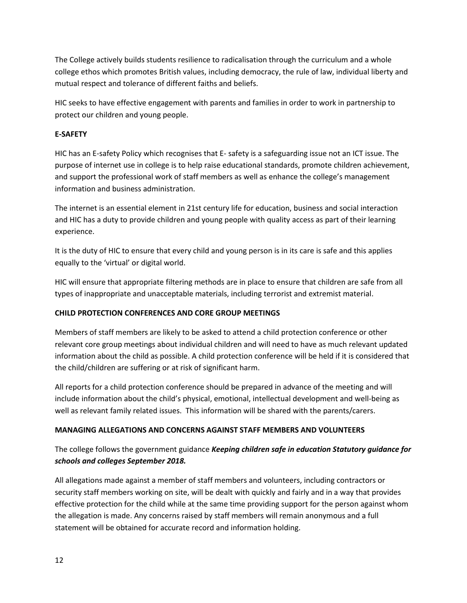The College actively builds students resilience to radicalisation through the curriculum and a whole college ethos which promotes British values, including democracy, the rule of law, individual liberty and mutual respect and tolerance of different faiths and beliefs.

HIC seeks to have effective engagement with parents and families in order to work in partnership to protect our children and young people.

#### **E-SAFETY**

HIC has an E-safety Policy which recognises that E- safety is a safeguarding issue not an ICT issue. The purpose of internet use in college is to help raise educational standards, promote children achievement, and support the professional work of staff members as well as enhance the college's management information and business administration.

The internet is an essential element in 21st century life for education, business and social interaction and HIC has a duty to provide children and young people with quality access as part of their learning experience.

It is the duty of HIC to ensure that every child and young person is in its care is safe and this applies equally to the 'virtual' or digital world.

HIC will ensure that appropriate filtering methods are in place to ensure that children are safe from all types of inappropriate and unacceptable materials, including terrorist and extremist material.

#### **CHILD PROTECTION CONFERENCES AND CORE GROUP MEETINGS**

Members of staff members are likely to be asked to attend a child protection conference or other relevant core group meetings about individual children and will need to have as much relevant updated information about the child as possible. A child protection conference will be held if it is considered that the child/children are suffering or at risk of significant harm.

All reports for a child protection conference should be prepared in advance of the meeting and will include information about the child's physical, emotional, intellectual development and well-being as well as relevant family related issues. This information will be shared with the parents/carers.

#### **MANAGING ALLEGATIONS AND CONCERNS AGAINST STAFF MEMBERS AND VOLUNTEERS**

## The college follows the government guidance *Keeping children safe in education Statutory guidance for schools and colleges September 2018.*

All allegations made against a member of staff members and volunteers, including contractors or security staff members working on site, will be dealt with quickly and fairly and in a way that provides effective protection for the child while at the same time providing support for the person against whom the allegation is made. Any concerns raised by staff members will remain anonymous and a full statement will be obtained for accurate record and information holding.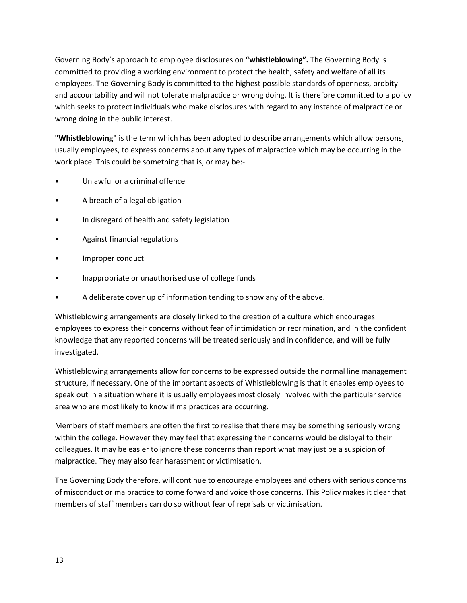Governing Body's approach to employee disclosures on **"whistleblowing".** The Governing Body is committed to providing a working environment to protect the health, safety and welfare of all its employees. The Governing Body is committed to the highest possible standards of openness, probity and accountability and will not tolerate malpractice or wrong doing. It is therefore committed to a policy which seeks to protect individuals who make disclosures with regard to any instance of malpractice or wrong doing in the public interest.

**"Whistleblowing"** is the term which has been adopted to describe arrangements which allow persons, usually employees, to express concerns about any types of malpractice which may be occurring in the work place. This could be something that is, or may be:-

- Unlawful or a criminal offence
- A breach of a legal obligation
- In disregard of health and safety legislation
- Against financial regulations
- Improper conduct
- Inappropriate or unauthorised use of college funds
- A deliberate cover up of information tending to show any of the above.

Whistleblowing arrangements are closely linked to the creation of a culture which encourages employees to express their concerns without fear of intimidation or recrimination, and in the confident knowledge that any reported concerns will be treated seriously and in confidence, and will be fully investigated.

Whistleblowing arrangements allow for concerns to be expressed outside the normal line management structure, if necessary. One of the important aspects of Whistleblowing is that it enables employees to speak out in a situation where it is usually employees most closely involved with the particular service area who are most likely to know if malpractices are occurring.

Members of staff members are often the first to realise that there may be something seriously wrong within the college. However they may feel that expressing their concerns would be disloyal to their colleagues. It may be easier to ignore these concerns than report what may just be a suspicion of malpractice. They may also fear harassment or victimisation.

The Governing Body therefore, will continue to encourage employees and others with serious concerns of misconduct or malpractice to come forward and voice those concerns. This Policy makes it clear that members of staff members can do so without fear of reprisals or victimisation.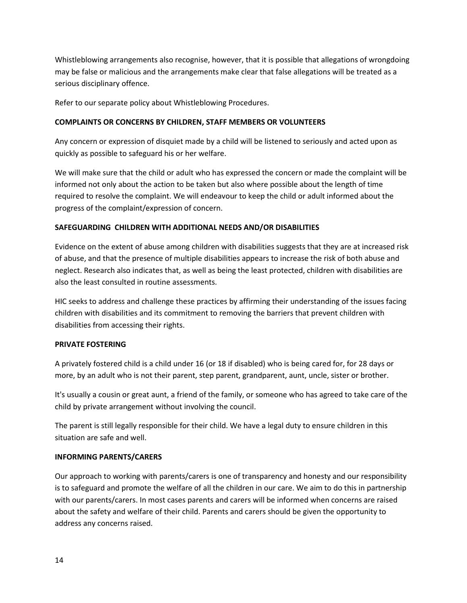Whistleblowing arrangements also recognise, however, that it is possible that allegations of wrongdoing may be false or malicious and the arrangements make clear that false allegations will be treated as a serious disciplinary offence.

Refer to our separate policy about Whistleblowing Procedures.

#### **COMPLAINTS OR CONCERNS BY CHILDREN, STAFF MEMBERS OR VOLUNTEERS**

Any concern or expression of disquiet made by a child will be listened to seriously and acted upon as quickly as possible to safeguard his or her welfare.

We will make sure that the child or adult who has expressed the concern or made the complaint will be informed not only about the action to be taken but also where possible about the length of time required to resolve the complaint. We will endeavour to keep the child or adult informed about the progress of the complaint/expression of concern.

#### **SAFEGUARDING CHILDREN WITH ADDITIONAL NEEDS AND/OR DISABILITIES**

Evidence on the extent of abuse among children with disabilities suggests that they are at increased risk of abuse, and that the presence of multiple disabilities appears to increase the risk of both abuse and neglect. Research also indicates that, as well as being the least protected, children with disabilities are also the least consulted in routine assessments.

HIC seeks to address and challenge these practices by affirming their understanding of the issues facing children with disabilities and its commitment to removing the barriers that prevent children with disabilities from accessing their rights.

#### **PRIVATE FOSTERING**

A privately fostered child is a child under 16 (or 18 if disabled) who is being cared for, for 28 days or more, by an adult who is not their parent, step parent, grandparent, aunt, uncle, sister or brother.

It's usually a cousin or great aunt, a friend of the family, or someone who has agreed to take care of the child by private arrangement without involving the council.

The parent is still legally responsible for their child. We have a legal duty to ensure children in this situation are safe and well.

#### **INFORMING PARENTS/CARERS**

Our approach to working with parents/carers is one of transparency and honesty and our responsibility is to safeguard and promote the welfare of all the children in our care. We aim to do this in partnership with our parents/carers. In most cases parents and carers will be informed when concerns are raised about the safety and welfare of their child. Parents and carers should be given the opportunity to address any concerns raised.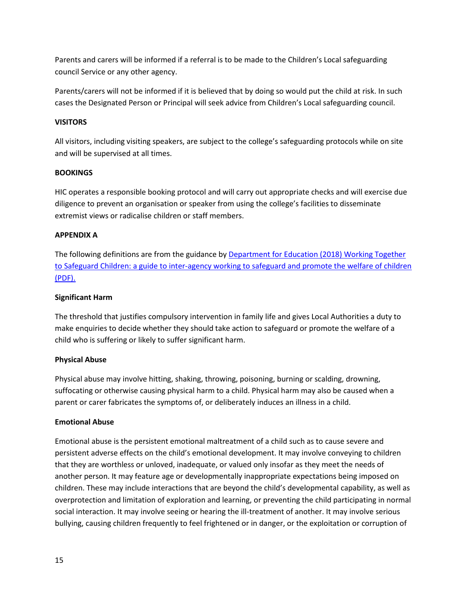Parents and carers will be informed if a referral is to be made to the Children's Local safeguarding council Service or any other agency.

Parents/carers will not be informed if it is believed that by doing so would put the child at risk. In such cases the Designated Person or Principal will seek advice from Children's Local safeguarding council.

#### **VISITORS**

All visitors, including visiting speakers, are subject to the college's safeguarding protocols while on site and will be supervised at all times.

#### **BOOKINGS**

HIC operates a responsible booking protocol and will carry out appropriate checks and will exercise due diligence to prevent an organisation or speaker from using the college's facilities to disseminate extremist views or radicalise children or staff members.

#### **APPENDIX A**

The following definitions are from the guidance by [Department for Education \(2018\) Working Together](https://assets.publishing.service.gov.uk/government/uploads/system/uploads/attachment_data/file/729914/Working_Together_to_Safeguard_Children-2018.pdf)  to Safeguard Children: a guide [to inter-agency working to safeguard and promote the welfare of children](https://assets.publishing.service.gov.uk/government/uploads/system/uploads/attachment_data/file/729914/Working_Together_to_Safeguard_Children-2018.pdf)  [\(PDF\).](https://assets.publishing.service.gov.uk/government/uploads/system/uploads/attachment_data/file/729914/Working_Together_to_Safeguard_Children-2018.pdf)

#### **Significant Harm**

The threshold that justifies compulsory intervention in family life and gives Local Authorities a duty to make enquiries to decide whether they should take action to safeguard or promote the welfare of a child who is suffering or likely to suffer significant harm.

#### **Physical Abuse**

Physical abuse may involve hitting, shaking, throwing, poisoning, burning or scalding, drowning, suffocating or otherwise causing physical harm to a child. Physical harm may also be caused when a parent or carer fabricates the symptoms of, or deliberately induces an illness in a child.

#### **Emotional Abuse**

Emotional abuse is the persistent emotional maltreatment of a child such as to cause severe and persistent adverse effects on the child's emotional development. It may involve conveying to children that they are worthless or unloved, inadequate, or valued only insofar as they meet the needs of another person. It may feature age or developmentally inappropriate expectations being imposed on children. These may include interactions that are beyond the child's developmental capability, as well as overprotection and limitation of exploration and learning, or preventing the child participating in normal social interaction. It may involve seeing or hearing the ill-treatment of another. It may involve serious bullying, causing children frequently to feel frightened or in danger, or the exploitation or corruption of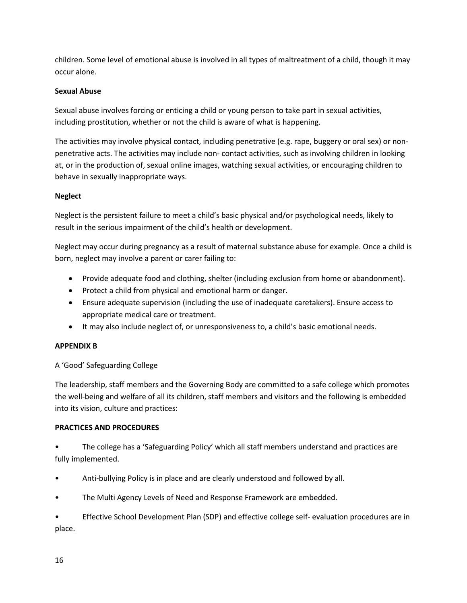children. Some level of emotional abuse is involved in all types of maltreatment of a child, though it may occur alone.

#### **Sexual Abuse**

Sexual abuse involves forcing or enticing a child or young person to take part in sexual activities, including prostitution, whether or not the child is aware of what is happening.

The activities may involve physical contact, including penetrative (e.g. rape, buggery or oral sex) or nonpenetrative acts. The activities may include non- contact activities, such as involving children in looking at, or in the production of, sexual online images, watching sexual activities, or encouraging children to behave in sexually inappropriate ways.

#### **Neglect**

Neglect is the persistent failure to meet a child's basic physical and/or psychological needs, likely to result in the serious impairment of the child's health or development.

Neglect may occur during pregnancy as a result of maternal substance abuse for example. Once a child is born, neglect may involve a parent or carer failing to:

- Provide adequate food and clothing, shelter (including exclusion from home or abandonment).
- Protect a child from physical and emotional harm or danger.
- Ensure adequate supervision (including the use of inadequate caretakers). Ensure access to appropriate medical care or treatment.
- It may also include neglect of, or unresponsiveness to, a child's basic emotional needs.

#### **APPENDIX B**

A 'Good' Safeguarding College

The leadership, staff members and the Governing Body are committed to a safe college which promotes the well-being and welfare of all its children, staff members and visitors and the following is embedded into its vision, culture and practices:

#### **PRACTICES AND PROCEDURES**

• The college has a 'Safeguarding Policy' which all staff members understand and practices are fully implemented.

- Anti-bullying Policy is in place and are clearly understood and followed by all.
- The Multi Agency Levels of Need and Response Framework are embedded.

• Effective School Development Plan (SDP) and effective college self- evaluation procedures are in place.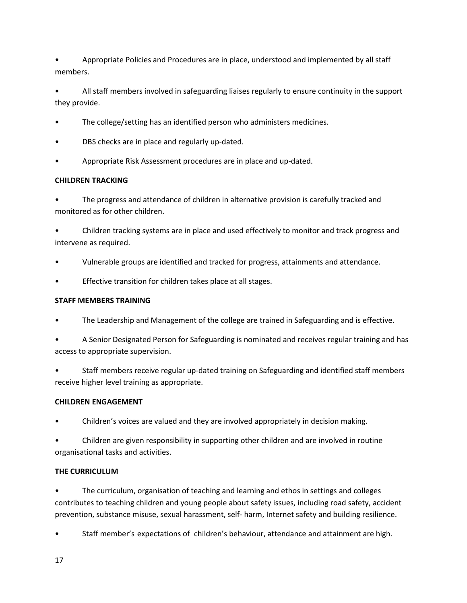• Appropriate Policies and Procedures are in place, understood and implemented by all staff members.

• All staff members involved in safeguarding liaises regularly to ensure continuity in the support they provide.

- The college/setting has an identified person who administers medicines.
- DBS checks are in place and regularly up-dated.
- Appropriate Risk Assessment procedures are in place and up-dated.

#### **CHILDREN TRACKING**

• The progress and attendance of children in alternative provision is carefully tracked and monitored as for other children.

• Children tracking systems are in place and used effectively to monitor and track progress and intervene as required.

- Vulnerable groups are identified and tracked for progress, attainments and attendance.
- Effective transition for children takes place at all stages.

#### **STAFF MEMBERS TRAINING**

- The Leadership and Management of the college are trained in Safeguarding and is effective.
- A Senior Designated Person for Safeguarding is nominated and receives regular training and has access to appropriate supervision.
- Staff members receive regular up-dated training on Safeguarding and identified staff members receive higher level training as appropriate.

#### **CHILDREN ENGAGEMENT**

• Children's voices are valued and they are involved appropriately in decision making.

• Children are given responsibility in supporting other children and are involved in routine organisational tasks and activities.

#### **THE CURRICULUM**

• The curriculum, organisation of teaching and learning and ethos in settings and colleges contributes to teaching children and young people about safety issues, including road safety, accident prevention, substance misuse, sexual harassment, self- harm, Internet safety and building resilience.

• Staff member's expectations of children's behaviour, attendance and attainment are high.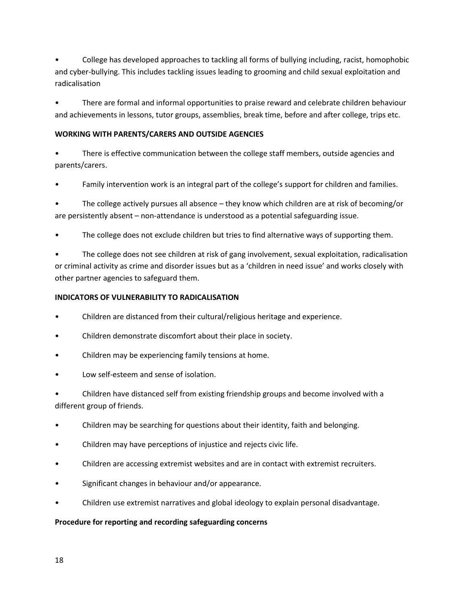• College has developed approaches to tackling all forms of bullying including, racist, homophobic and cyber-bullying. This includes tackling issues leading to grooming and child sexual exploitation and radicalisation

• There are formal and informal opportunities to praise reward and celebrate children behaviour and achievements in lessons, tutor groups, assemblies, break time, before and after college, trips etc.

#### **WORKING WITH PARENTS/CARERS AND OUTSIDE AGENCIES**

• There is effective communication between the college staff members, outside agencies and parents/carers.

• Family intervention work is an integral part of the college's support for children and families.

• The college actively pursues all absence – they know which children are at risk of becoming/or are persistently absent – non-attendance is understood as a potential safeguarding issue.

The college does not exclude children but tries to find alternative ways of supporting them.

• The college does not see children at risk of gang involvement, sexual exploitation, radicalisation or criminal activity as crime and disorder issues but as a 'children in need issue' and works closely with other partner agencies to safeguard them.

## **INDICATORS OF VULNERABILITY TO RADICALISATION**

- Children are distanced from their cultural/religious heritage and experience.
- Children demonstrate discomfort about their place in society.
- Children may be experiencing family tensions at home.
- Low self-esteem and sense of isolation.

• Children have distanced self from existing friendship groups and become involved with a different group of friends.

- Children may be searching for questions about their identity, faith and belonging.
- Children may have perceptions of injustice and rejects civic life.
- Children are accessing extremist websites and are in contact with extremist recruiters.
- Significant changes in behaviour and/or appearance.
- Children use extremist narratives and global ideology to explain personal disadvantage.

#### **Procedure for reporting and recording safeguarding concerns**